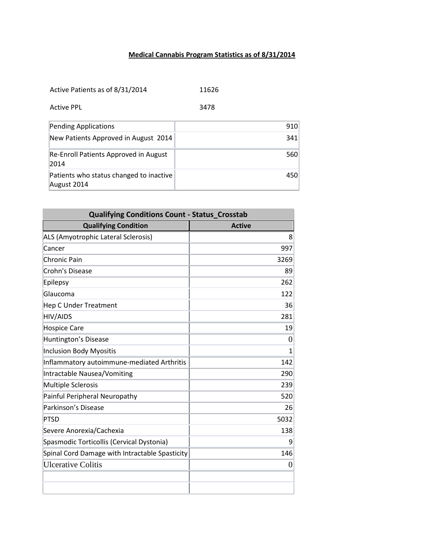## **Medical Cannabis Program Statistics as of 8/31/2014**

Active Patients as of 8/31/2014 11626

| 3478 |
|------|
|      |

| Pending Applications                                   | 910 |
|--------------------------------------------------------|-----|
| New Patients Approved in August 2014                   | 341 |
| Re-Enroll Patients Approved in August<br>2014          | 560 |
| Patients who status changed to inactive<br>August 2014 | 450 |

| <b>Qualifying Conditions Count - Status Crosstab</b> |                |
|------------------------------------------------------|----------------|
| <b>Qualifying Condition</b>                          | <b>Active</b>  |
| ALS (Amyotrophic Lateral Sclerosis)                  | 8              |
| Cancer                                               | 997            |
| <b>Chronic Pain</b>                                  | 3269           |
| Crohn's Disease                                      | 89             |
| Epilepsy                                             | 262            |
| Glaucoma                                             | 122            |
| <b>Hep C Under Treatment</b>                         | 36             |
| <b>HIV/AIDS</b>                                      | 281            |
| <b>Hospice Care</b>                                  | 19             |
| Huntington's Disease                                 | $\theta$       |
| <b>Inclusion Body Myositis</b>                       | 1              |
| Inflammatory autoimmune-mediated Arthritis           | 142            |
| Intractable Nausea/Vomiting                          | 290            |
| <b>Multiple Sclerosis</b>                            | 239            |
| Painful Peripheral Neuropathy                        | 520            |
| Parkinson's Disease                                  | 26             |
| <b>PTSD</b>                                          | 5032           |
| Severe Anorexia/Cachexia                             | 138            |
| Spasmodic Torticollis (Cervical Dystonia)            | 9              |
| Spinal Cord Damage with Intractable Spasticity       | 146            |
| <b>Ulcerative Colitis</b>                            | $\overline{0}$ |
|                                                      |                |
|                                                      |                |